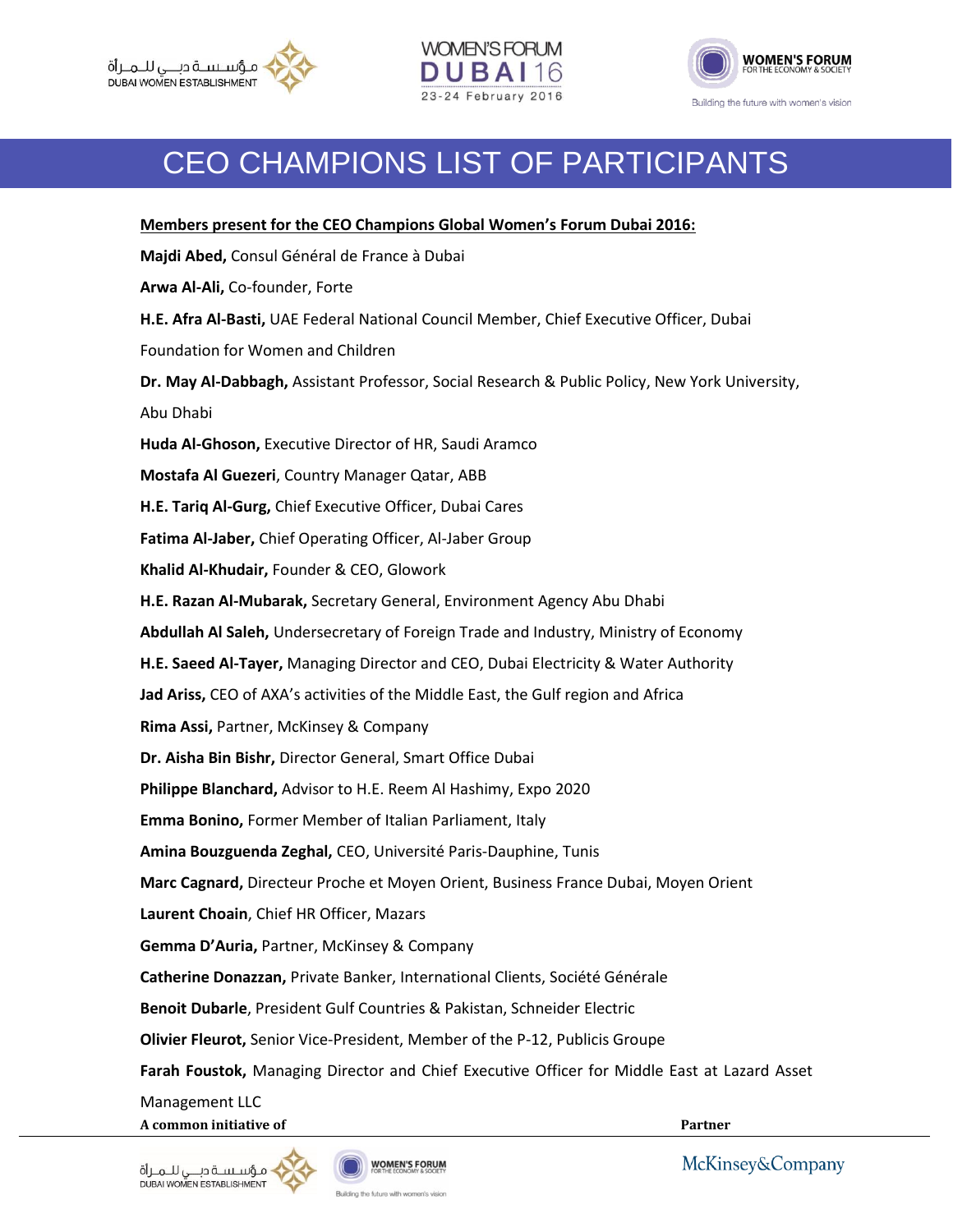





## CEO CHAMPIONS LIST OF PARTICIPANTS

| Members present for the CEO Champions Global Women's Forum Dubai 2016:                         |
|------------------------------------------------------------------------------------------------|
| Majdi Abed, Consul Général de France à Dubai                                                   |
| Arwa Al-Ali, Co-founder, Forte                                                                 |
| H.E. Afra Al-Basti, UAE Federal National Council Member, Chief Executive Officer, Dubai        |
| Foundation for Women and Children                                                              |
| Dr. May Al-Dabbagh, Assistant Professor, Social Research & Public Policy, New York University, |
| Abu Dhabi                                                                                      |
| Huda Al-Ghoson, Executive Director of HR, Saudi Aramco                                         |
| Mostafa Al Guezeri, Country Manager Qatar, ABB                                                 |
| H.E. Tariq Al-Gurg, Chief Executive Officer, Dubai Cares                                       |
| Fatima Al-Jaber, Chief Operating Officer, Al-Jaber Group                                       |
| Khalid Al-Khudair, Founder & CEO, Glowork                                                      |
| H.E. Razan Al-Mubarak, Secretary General, Environment Agency Abu Dhabi                         |
| Abdullah Al Saleh, Undersecretary of Foreign Trade and Industry, Ministry of Economy           |
| H.E. Saeed Al-Tayer, Managing Director and CEO, Dubai Electricity & Water Authority            |
| Jad Ariss, CEO of AXA's activities of the Middle East, the Gulf region and Africa              |
| Rima Assi, Partner, McKinsey & Company                                                         |
| Dr. Aisha Bin Bishr, Director General, Smart Office Dubai                                      |
| Philippe Blanchard, Advisor to H.E. Reem Al Hashimy, Expo 2020                                 |
| Emma Bonino, Former Member of Italian Parliament, Italy                                        |
| Amina Bouzguenda Zeghal, CEO, Université Paris-Dauphine, Tunis                                 |
| Marc Cagnard, Directeur Proche et Moyen Orient, Business France Dubai, Moyen Orient            |
| Laurent Choain, Chief HR Officer, Mazars                                                       |
| Gemma D'Auria, Partner, McKinsey & Company                                                     |
| Catherine Donazzan, Private Banker, International Clients, Société Générale                    |
| Benoit Dubarle, President Gulf Countries & Pakistan, Schneider Electric                        |
| Olivier Fleurot, Senior Vice-President, Member of the P-12, Publicis Groupe                    |
| Farah Foustok, Managing Director and Chief Executive Officer for Middle East at Lazard Asset   |
| Management LLC                                                                                 |

**A common initiative of Partner**

♦